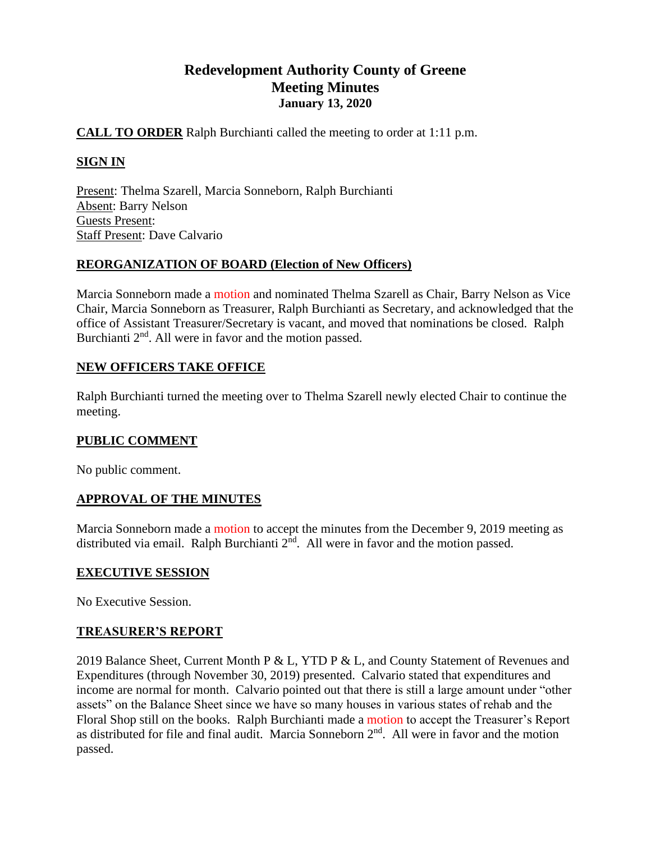# **Redevelopment Authority County of Greene Meeting Minutes January 13, 2020**

## **CALL TO ORDER** Ralph Burchianti called the meeting to order at 1:11 p.m.

## **SIGN IN**

Present: Thelma Szarell, Marcia Sonneborn, Ralph Burchianti Absent: Barry Nelson Guests Present: Staff Present: Dave Calvario

## **REORGANIZATION OF BOARD (Election of New Officers)**

Marcia Sonneborn made a motion and nominated Thelma Szarell as Chair, Barry Nelson as Vice Chair, Marcia Sonneborn as Treasurer, Ralph Burchianti as Secretary, and acknowledged that the office of Assistant Treasurer/Secretary is vacant, and moved that nominations be closed. Ralph Burchianti 2<sup>nd</sup>. All were in favor and the motion passed.

## **NEW OFFICERS TAKE OFFICE**

Ralph Burchianti turned the meeting over to Thelma Szarell newly elected Chair to continue the meeting.

### **PUBLIC COMMENT**

No public comment.

## **APPROVAL OF THE MINUTES**

Marcia Sonneborn made a motion to accept the minutes from the December 9, 2019 meeting as distributed via email. Ralph Burchianti  $2<sup>nd</sup>$ . All were in favor and the motion passed.

### **EXECUTIVE SESSION**

No Executive Session.

### **TREASURER'S REPORT**

2019 Balance Sheet, Current Month P & L, YTD P & L, and County Statement of Revenues and Expenditures (through November 30, 2019) presented. Calvario stated that expenditures and income are normal for month. Calvario pointed out that there is still a large amount under "other assets" on the Balance Sheet since we have so many houses in various states of rehab and the Floral Shop still on the books. Ralph Burchianti made a motion to accept the Treasurer's Report as distributed for file and final audit. Marcia Sonneborn  $2<sup>nd</sup>$ . All were in favor and the motion passed.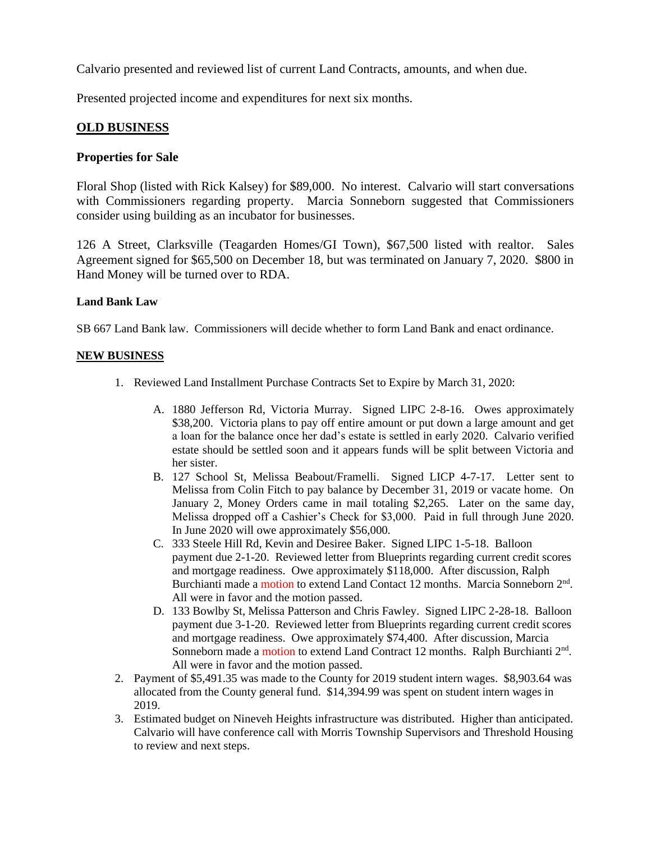Calvario presented and reviewed list of current Land Contracts, amounts, and when due.

Presented projected income and expenditures for next six months.

## **OLD BUSINESS**

### **Properties for Sale**

Floral Shop (listed with Rick Kalsey) for \$89,000. No interest. Calvario will start conversations with Commissioners regarding property. Marcia Sonneborn suggested that Commissioners consider using building as an incubator for businesses.

126 A Street, Clarksville (Teagarden Homes/GI Town), \$67,500 listed with realtor. Sales Agreement signed for \$65,500 on December 18, but was terminated on January 7, 2020. \$800 in Hand Money will be turned over to RDA.

#### **Land Bank Law**

SB 667 Land Bank law. Commissioners will decide whether to form Land Bank and enact ordinance.

#### **NEW BUSINESS**

- 1. Reviewed Land Installment Purchase Contracts Set to Expire by March 31, 2020:
	- A. 1880 Jefferson Rd, Victoria Murray. Signed LIPC 2-8-16. Owes approximately \$38,200. Victoria plans to pay off entire amount or put down a large amount and get a loan for the balance once her dad's estate is settled in early 2020. Calvario verified estate should be settled soon and it appears funds will be split between Victoria and her sister.
	- B. 127 School St, Melissa Beabout/Framelli. Signed LICP 4-7-17. Letter sent to Melissa from Colin Fitch to pay balance by December 31, 2019 or vacate home. On January 2, Money Orders came in mail totaling \$2,265. Later on the same day, Melissa dropped off a Cashier's Check for \$3,000. Paid in full through June 2020. In June 2020 will owe approximately \$56,000.
	- C. 333 Steele Hill Rd, Kevin and Desiree Baker. Signed LIPC 1-5-18. Balloon payment due 2-1-20. Reviewed letter from Blueprints regarding current credit scores and mortgage readiness. Owe approximately \$118,000. After discussion, Ralph Burchianti made a motion to extend Land Contact 12 months. Marcia Sonneborn 2<sup>nd</sup>. All were in favor and the motion passed.
	- D. 133 Bowlby St, Melissa Patterson and Chris Fawley. Signed LIPC 2-28-18. Balloon payment due 3-1-20. Reviewed letter from Blueprints regarding current credit scores and mortgage readiness. Owe approximately \$74,400. After discussion, Marcia Sonneborn made a motion to extend Land Contract 12 months. Ralph Burchianti 2<sup>nd</sup>. All were in favor and the motion passed.
- 2. Payment of \$5,491.35 was made to the County for 2019 student intern wages. \$8,903.64 was allocated from the County general fund. \$14,394.99 was spent on student intern wages in 2019.
- 3. Estimated budget on Nineveh Heights infrastructure was distributed. Higher than anticipated. Calvario will have conference call with Morris Township Supervisors and Threshold Housing to review and next steps.